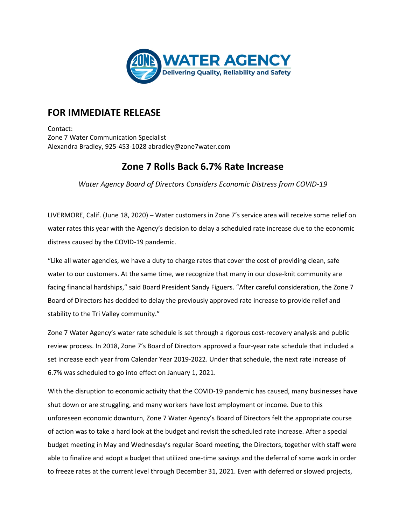

## **FOR IMMEDIATE RELEASE**

Contact: Zone 7 Water Communication Specialist Alexandra Bradley, 925-453-1028 abradley@zone7water.com

## **Zone 7 Rolls Back 6.7% Rate Increase**

*Water Agency Board of Directors Considers Economic Distress from COVID-19*

LIVERMORE, Calif. (June 18, 2020) – Water customers in Zone 7's service area will receive some relief on water rates this year with the Agency's decision to delay a scheduled rate increase due to the economic distress caused by the COVID-19 pandemic.

"Like all water agencies, we have a duty to charge rates that cover the cost of providing clean, safe water to our customers. At the same time, we recognize that many in our close-knit community are facing financial hardships," said Board President Sandy Figuers. "After careful consideration, the Zone 7 Board of Directors has decided to delay the previously approved rate increase to provide relief and stability to the Tri Valley community."

Zone 7 Water Agency's water rate schedule is set through a rigorous cost-recovery analysis and public review process. In 2018, Zone 7's Board of Directors approved a four-year rate schedule that included a set increase each year from Calendar Year 2019-2022. Under that schedule, the next rate increase of 6.7% was scheduled to go into effect on January 1, 2021.

With the disruption to economic activity that the COVID-19 pandemic has caused, many businesses have shut down or are struggling, and many workers have lost employment or income. Due to this unforeseen economic downturn, Zone 7 Water Agency's Board of Directors felt the appropriate course of action was to take a hard look at the budget and revisit the scheduled rate increase. After a special budget meeting in May and Wednesday's regular Board meeting, the Directors, together with staff were able to finalize and adopt a budget that utilized one-time savings and the deferral of some work in order to freeze rates at the current level through December 31, 2021. Even with deferred or slowed projects,